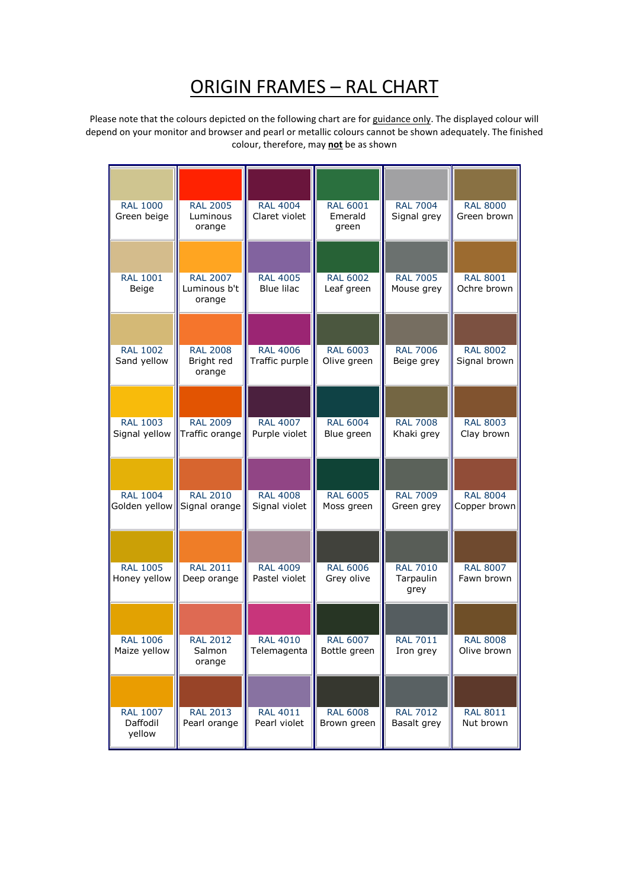## <u> ORIGIN FRAMES – RAL CHART</u>

Please note that the colours depicted on the following chart are for guidance only. The displayed colour will depend on your monitor and browser and pearl or metallic colours cannot be shown adequately. The finished colour, therefore, may **not** be as shown

| <b>RAL 1000</b><br>Green beige        | <b>RAL 2005</b><br>Luminous<br>orange     | <b>RAL 4004</b><br>Claret violet     | <b>RAL 6001</b><br>Emerald<br>green | <b>RAL 7004</b><br>Signal grey       | <b>RAL 8000</b><br>Green brown  |
|---------------------------------------|-------------------------------------------|--------------------------------------|-------------------------------------|--------------------------------------|---------------------------------|
| <b>RAL 1001</b><br>Beige              | <b>RAL 2007</b><br>Luminous b't<br>orange | <b>RAL 4005</b><br><b>Blue lilac</b> | <b>RAL 6002</b><br>Leaf green       | <b>RAL 7005</b><br>Mouse grey        | <b>RAL 8001</b><br>Ochre brown  |
| <b>RAL 1002</b><br>Sand yellow        | <b>RAL 2008</b><br>Bright red<br>orange   | <b>RAL 4006</b><br>Traffic purple    | <b>RAL 6003</b><br>Olive green      | <b>RAL 7006</b><br>Beige grey        | <b>RAL 8002</b><br>Signal brown |
| <b>RAL 1003</b><br>Signal yellow      | <b>RAL 2009</b><br>Traffic orange         | <b>RAL 4007</b><br>Purple violet     | <b>RAL 6004</b><br>Blue green       | <b>RAL 7008</b><br>Khaki grey        | <b>RAL 8003</b><br>Clay brown   |
| <b>RAL 1004</b><br>Golden yellow      | <b>RAL 2010</b><br>Signal orange          | <b>RAL 4008</b><br>Signal violet     | <b>RAL 6005</b><br>Moss green       | <b>RAL 7009</b><br>Green grey        | <b>RAL 8004</b><br>Copper brown |
| <b>RAL 1005</b><br>Honey yellow       | <b>RAL 2011</b><br>Deep orange            | <b>RAL 4009</b><br>Pastel violet     | <b>RAL 6006</b><br>Grey olive       | <b>RAL 7010</b><br>Tarpaulin<br>grey | <b>RAL 8007</b><br>Fawn brown   |
| <b>RAL 1006</b><br>Maize yellow       | <b>RAL 2012</b><br>Salmon<br>orange       | <b>RAL 4010</b><br>Telemagenta       | <b>RAL 6007</b><br>Bottle green     | <b>RAL 7011</b><br>Iron grey         | <b>RAL 8008</b><br>Olive brown  |
| <b>RAL 1007</b><br>Daffodil<br>yellow | <b>RAL 2013</b><br>Pearl orange           | <b>RAL 4011</b><br>Pearl violet      | <b>RAL 6008</b><br>Brown green      | <b>RAL 7012</b><br>Basalt grey       | <b>RAL 8011</b><br>Nut brown    |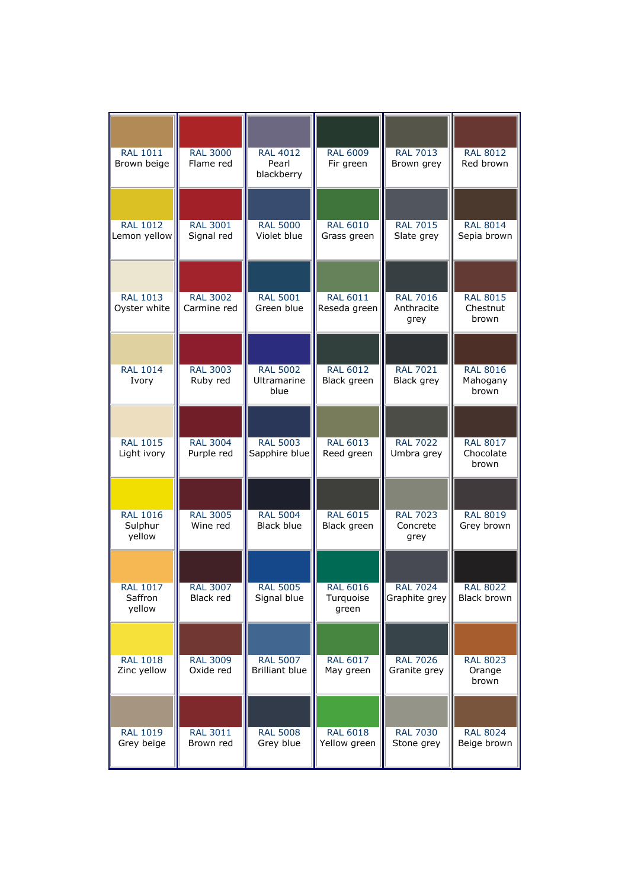| <b>RAL 1011</b><br>Brown beige       | <b>RAL 3000</b><br>Flame red   | <b>RAL 4012</b><br>Pearl<br>blackberry   | <b>RAL 6009</b><br>Fir green          | <b>RAL 7013</b><br>Brown grey         | <b>RAL 8012</b><br>Red brown          |
|--------------------------------------|--------------------------------|------------------------------------------|---------------------------------------|---------------------------------------|---------------------------------------|
| <b>RAL 1012</b><br>Lemon yellow      | <b>RAL 3001</b><br>Signal red  | <b>RAL 5000</b><br>Violet blue           | <b>RAL 6010</b><br>Grass green        | <b>RAL 7015</b><br>Slate grey         | <b>RAL 8014</b><br>Sepia brown        |
| <b>RAL 1013</b><br>Oyster white      | <b>RAL 3002</b><br>Carmine red | <b>RAL 5001</b><br>Green blue            | <b>RAL 6011</b><br>Reseda green       | <b>RAL 7016</b><br>Anthracite<br>grey | <b>RAL 8015</b><br>Chestnut<br>brown  |
| <b>RAL 1014</b><br>Ivory             | <b>RAL 3003</b><br>Ruby red    | <b>RAL 5002</b><br>Ultramarine<br>blue   | <b>RAL 6012</b><br>Black green        | <b>RAL 7021</b><br>Black grey         | <b>RAL 8016</b><br>Mahogany<br>brown  |
| <b>RAL 1015</b><br>Light ivory       | <b>RAL 3004</b><br>Purple red  | <b>RAL 5003</b><br>Sapphire blue         | <b>RAL 6013</b><br>Reed green         | <b>RAL 7022</b><br>Umbra grey         | <b>RAL 8017</b><br>Chocolate<br>brown |
| <b>RAL 1016</b><br>Sulphur<br>yellow | <b>RAL 3005</b><br>Wine red    | <b>RAL 5004</b><br>Black blue            | <b>RAL 6015</b><br>Black green        | <b>RAL 7023</b><br>Concrete<br>grey   | <b>RAL 8019</b><br>Grey brown         |
| <b>RAL 1017</b><br>Saffron<br>yellow | <b>RAL 3007</b><br>Black red   | <b>RAL 5005</b><br>Signal blue           | <b>RAL 6016</b><br>Turquoise<br>green | <b>RAL 7024</b><br>Graphite grey      | <b>RAL 8022</b><br><b>Black brown</b> |
| <b>RAL 1018</b><br>Zinc yellow       | <b>RAL 3009</b><br>Oxide red   | <b>RAL 5007</b><br><b>Brilliant blue</b> | <b>RAL 6017</b><br>May green          | <b>RAL 7026</b><br>Granite grey       | <b>RAL 8023</b><br>Orange<br>brown    |
| <b>RAL 1019</b><br>Grey beige        | <b>RAL 3011</b><br>Brown red   | <b>RAL 5008</b><br>Grey blue             | <b>RAL 6018</b><br>Yellow green       | <b>RAL 7030</b><br>Stone grey         | <b>RAL 8024</b><br>Beige brown        |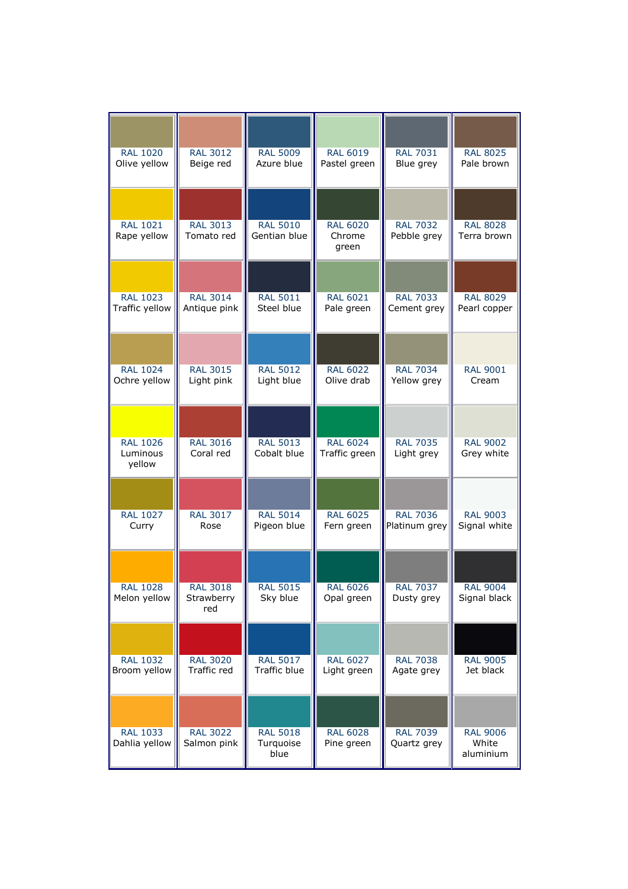| <b>RAL 1020</b>                       | <b>RAL 3012</b>                      | <b>RAL 5009</b>                      | <b>RAL 6019</b>                    | <b>RAL 7031</b>                | <b>RAL 8025</b>                       |
|---------------------------------------|--------------------------------------|--------------------------------------|------------------------------------|--------------------------------|---------------------------------------|
| Olive yellow                          | Beige red                            | Azure blue                           | Pastel green                       | Blue grey                      | Pale brown                            |
| <b>RAL 1021</b><br>Rape yellow        | <b>RAL 3013</b><br>Tomato red        | <b>RAL 5010</b><br>Gentian blue      | <b>RAL 6020</b><br>Chrome<br>green | <b>RAL 7032</b><br>Pebble grey | <b>RAL 8028</b><br>Terra brown        |
| <b>RAL 1023</b>                       | <b>RAL 3014</b>                      | <b>RAL 5011</b>                      | <b>RAL 6021</b>                    | <b>RAL 7033</b>                | <b>RAL 8029</b>                       |
| Traffic yellow                        | Antique pink                         | Steel blue                           | Pale green                         | Cement grey                    | Pearl copper                          |
| <b>RAL 1024</b>                       | <b>RAL 3015</b>                      | <b>RAL 5012</b>                      | <b>RAL 6022</b>                    | <b>RAL 7034</b>                | <b>RAL 9001</b>                       |
| Ochre yellow                          | Light pink                           | Light blue                           | Olive drab                         | Yellow grey                    | Cream                                 |
| <b>RAL 1026</b><br>Luminous<br>yellow | <b>RAL 3016</b><br>Coral red         | <b>RAL 5013</b><br>Cobalt blue       | <b>RAL 6024</b><br>Traffic green   | <b>RAL 7035</b><br>Light grey  | <b>RAL 9002</b><br>Grey white         |
| <b>RAL 1027</b>                       | <b>RAL 3017</b>                      | <b>RAL 5014</b>                      | <b>RAL 6025</b>                    | <b>RAL 7036</b>                | <b>RAL 9003</b>                       |
| Curry                                 | Rose                                 | Pigeon blue                          | Fern green                         | Platinum grey                  | Signal white                          |
| <b>RAL 1028</b><br>Melon yellow       | <b>RAL 3018</b><br>Strawberry<br>red | <b>RAL 5015</b><br>Sky blue          | <b>RAL 6026</b><br>Opal green      | <b>RAL 7037</b><br>Dusty grey  | <b>RAL 9004</b><br>Signal black       |
| <b>RAL 1032</b>                       | <b>RAL 3020</b>                      | <b>RAL 5017</b>                      | <b>RAL 6027</b>                    | <b>RAL 7038</b>                | <b>RAL 9005</b>                       |
| Broom yellow                          | Traffic red                          | Traffic blue                         | Light green                        | Agate grey                     | Jet black                             |
| <b>RAL 1033</b><br>Dahlia yellow      | <b>RAL 3022</b><br>Salmon pink       | <b>RAL 5018</b><br>Turquoise<br>blue | <b>RAL 6028</b><br>Pine green      | <b>RAL 7039</b><br>Quartz grey | <b>RAL 9006</b><br>White<br>aluminium |